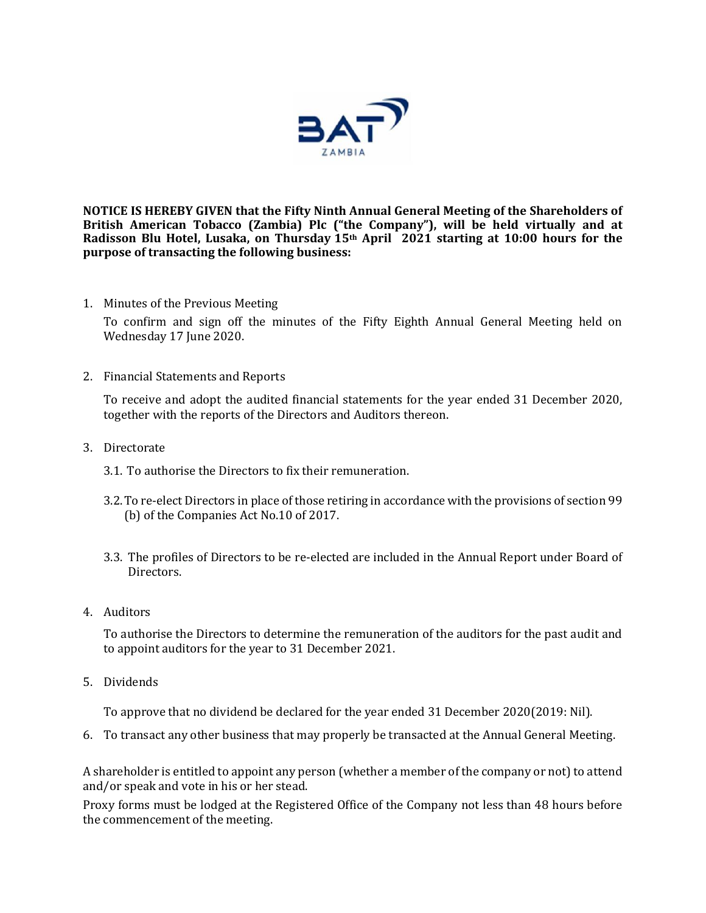

**NOTICE IS HEREBY GIVEN that the Fifty Ninth Annual General Meeting of the Shareholders of British American Tobacco (Zambia) Plc ("the Company"), will be held virtually and at Radisson Blu Hotel, Lusaka, on Thursday 15th April 2021 starting at 10:00 hours for the purpose of transacting the following business:** 

1. Minutes of the Previous Meeting

To confirm and sign off the minutes of the Fifty Eighth Annual General Meeting held on Wednesday 17 June 2020.

2. Financial Statements and Reports

To receive and adopt the audited financial statements for the year ended 31 December 2020, together with the reports of the Directors and Auditors thereon.

- 3. Directorate
	- 3.1. To authorise the Directors to fix their remuneration.
	- 3.2.To re-elect Directors in place of those retiring in accordance with the provisions of section 99 (b) of the Companies Act No.10 of 2017.
	- 3.3. The profiles of Directors to be re-elected are included in the Annual Report under Board of Directors.
- 4. Auditors

To authorise the Directors to determine the remuneration of the auditors for the past audit and to appoint auditors for the year to 31 December 2021.

5. Dividends

To approve that no dividend be declared for the year ended 31 December 2020(2019: Nil).

6. To transact any other business that may properly be transacted at the Annual General Meeting.

A shareholder is entitled to appoint any person (whether a member of the company or not) to attend and/or speak and vote in his or her stead.

Proxy forms must be lodged at the Registered Office of the Company not less than 48 hours before the commencement of the meeting.